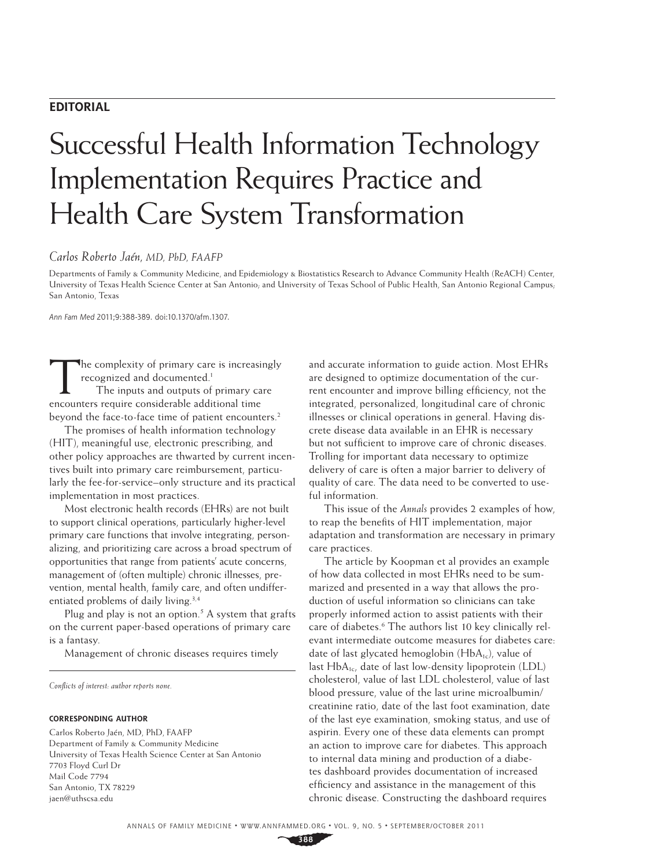# **EDITORIAL**

# Successful Health Information Technology Implementation Requires Practice and Health Care System Transformation

# *Carlos Roberto Jaén, MD, PhD, FAAFP*

Departments of Family & Community Medicine, and Epidemiology & Biostatistics Research to Advance Community Health (ReACH) Center, University of Texas Health Science Center at San Antonio; and University of Texas School of Public Health, San Antonio Regional Campus; San Antonio, Texas

Ann Fam Med 2011;9:388-389. doi:10.1370/afm.1307.

The complexity of primary care is increasingly recognized and documented.<sup>1</sup>

The inputs and outputs of primary care encounters require considerable additional time beyond the face-to-face time of patient encounters.<sup>2</sup>

The promises of health information technology (HIT), meaningful use, electronic prescribing, and other policy approaches are thwarted by current incentives built into primary care reimbursement, particularly the fee-for-service–only structure and its practical implementation in most practices.

Most electronic health records (EHRs) are not built to support clinical operations, particularly higher-level primary care functions that involve integrating, personalizing, and prioritizing care across a broad spectrum of opportunities that range from patients' acute concerns, management of (often multiple) chronic illnesses, prevention, mental health, family care, and often undifferentiated problems of daily living.<sup>3,4</sup>

Plug and play is not an option.<sup>5</sup> A system that grafts on the current paper-based operations of primary care is a fantasy.

Management of chronic diseases requires timely

*Confl icts of interest: author reports none.*

#### **CORRESPONDING AUTHOR**

Carlos Roberto Jaén, MD, PhD, FAAFP Department of Family & Community Medicine University of Texas Health Science Center at San Antonio 7703 Floyd Curl Dr Mail Code 7794 San Antonio, TX 78229 jaen@uthscsa.edu

and accurate information to guide action. Most EHRs are designed to optimize documentation of the current encounter and improve billing efficiency, not the integrated, personalized, longitudinal care of chronic illnesses or clinical operations in general. Having discrete disease data available in an EHR is necessary but not sufficient to improve care of chronic diseases. Trolling for important data necessary to optimize delivery of care is often a major barrier to delivery of quality of care. The data need to be converted to useful information.

This issue of the *Annals* provides 2 examples of how, to reap the benefits of HIT implementation, major adaptation and transformation are necessary in primary care practices.

The article by Koopman et al provides an example of how data collected in most EHRs need to be summarized and presented in a way that allows the production of useful information so clinicians can take properly informed action to assist patients with their care of diabetes.<sup>6</sup> The authors list 10 key clinically relevant intermediate outcome measures for diabetes care: date of last glycated hemoglobin  $(HbA_{1c})$ , value of last  $HbA_{1c}$ , date of last low-density lipoprotein (LDL) cholesterol, value of last LDL cholesterol, value of last blood pressure, value of the last urine microalbumin/ creatinine ratio, date of the last foot examination, date of the last eye examination, smoking status, and use of aspirin. Every one of these data elements can prompt an action to improve care for diabetes. This approach to internal data mining and production of a diabetes dashboard provides documentation of increased efficiency and assistance in the management of this chronic disease. Constructing the dashboard requires